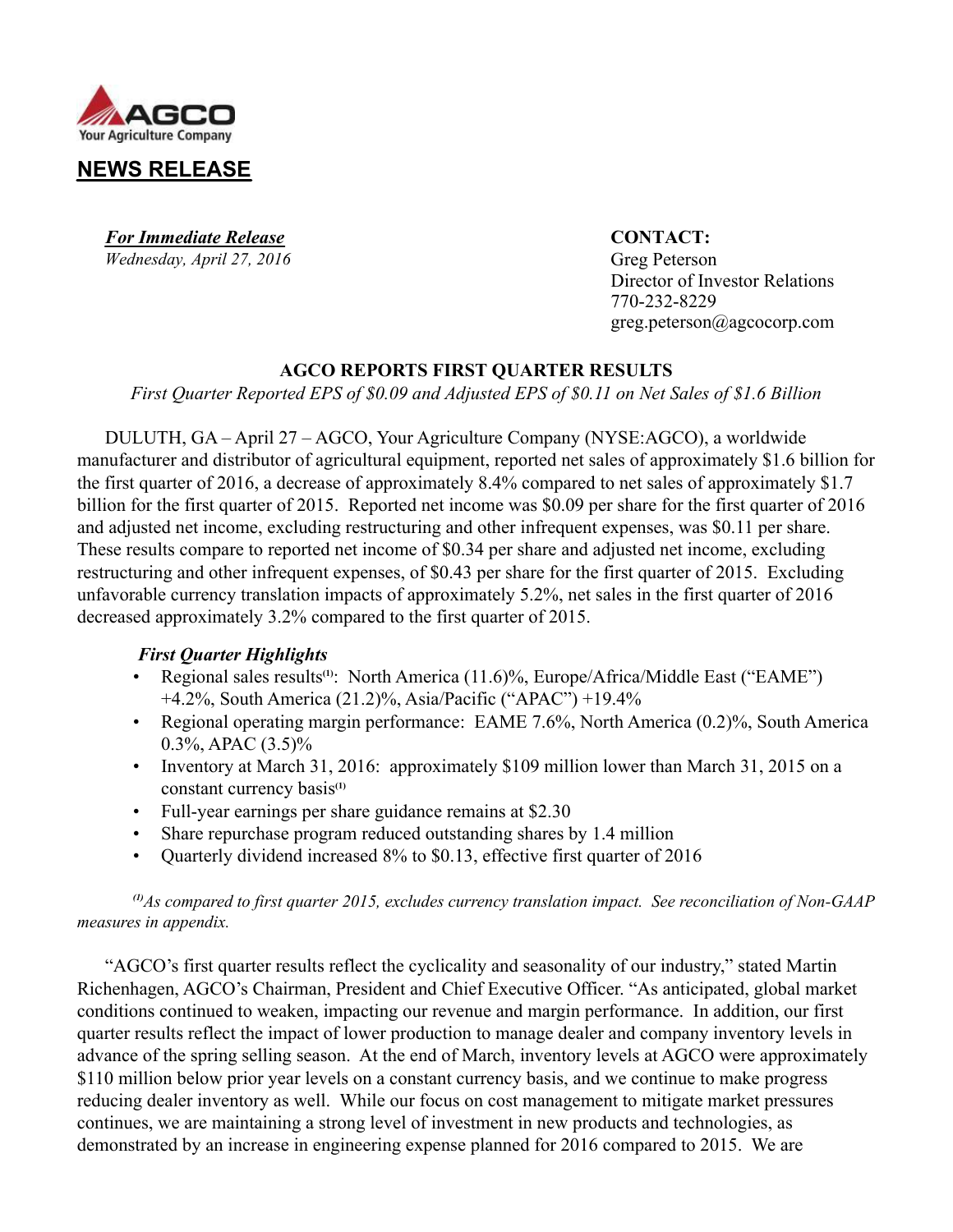

# **NEWS RELEASE**

*For Immediate Release* **CONTACT:** *Wednesday, April 27, 2016* Greg Peterson

Director of Investor Relations 770-232-8229 greg.peterson@agcocorp.com

# **AGCO REPORTS FIRST QUARTER RESULTS**

*First Quarter Reported EPS of \$0.09 and Adjusted EPS of \$0.11 on Net Sales of \$1.6 Billion*

DULUTH, GA – April 27 – AGCO, Your Agriculture Company (NYSE:AGCO), a worldwide manufacturer and distributor of agricultural equipment, reported net sales of approximately \$1.6 billion for the first quarter of 2016, a decrease of approximately 8.4% compared to net sales of approximately \$1.7 billion for the first quarter of 2015. Reported net income was \$0.09 per share for the first quarter of 2016 and adjusted net income, excluding restructuring and other infrequent expenses, was \$0.11 per share. These results compare to reported net income of \$0.34 per share and adjusted net income, excluding restructuring and other infrequent expenses, of \$0.43 per share for the first quarter of 2015. Excluding unfavorable currency translation impacts of approximately 5.2%, net sales in the first quarter of 2016 decreased approximately 3.2% compared to the first quarter of 2015.

# *First Quarter Highlights*

- Regional sales results**(1)**: North America (11.6)%, Europe/Africa/Middle East ("EAME") +4.2%, South America (21.2)%, Asia/Pacific ("APAC") +19.4%
- Regional operating margin performance: EAME 7.6%, North America (0.2)%, South America 0.3%, APAC (3.5)%
- Inventory at March 31, 2016: approximately \$109 million lower than March 31, 2015 on a constant currency basis**(1)**
- Full-year earnings per share guidance remains at \$2.30
- Share repurchase program reduced outstanding shares by 1.4 million
- Quarterly dividend increased 8% to \$0.13, effective first quarter of 2016

*(1)As compared to first quarter 2015, excludes currency translation impact. See reconciliation of Non-GAAP measures in appendix.*

"AGCO's first quarter results reflect the cyclicality and seasonality of our industry," stated Martin Richenhagen, AGCO's Chairman, President and Chief Executive Officer. "As anticipated, global market conditions continued to weaken, impacting our revenue and margin performance. In addition, our first quarter results reflect the impact of lower production to manage dealer and company inventory levels in advance of the spring selling season. At the end of March, inventory levels at AGCO were approximately \$110 million below prior year levels on a constant currency basis, and we continue to make progress reducing dealer inventory as well. While our focus on cost management to mitigate market pressures continues, we are maintaining a strong level of investment in new products and technologies, as demonstrated by an increase in engineering expense planned for 2016 compared to 2015. We are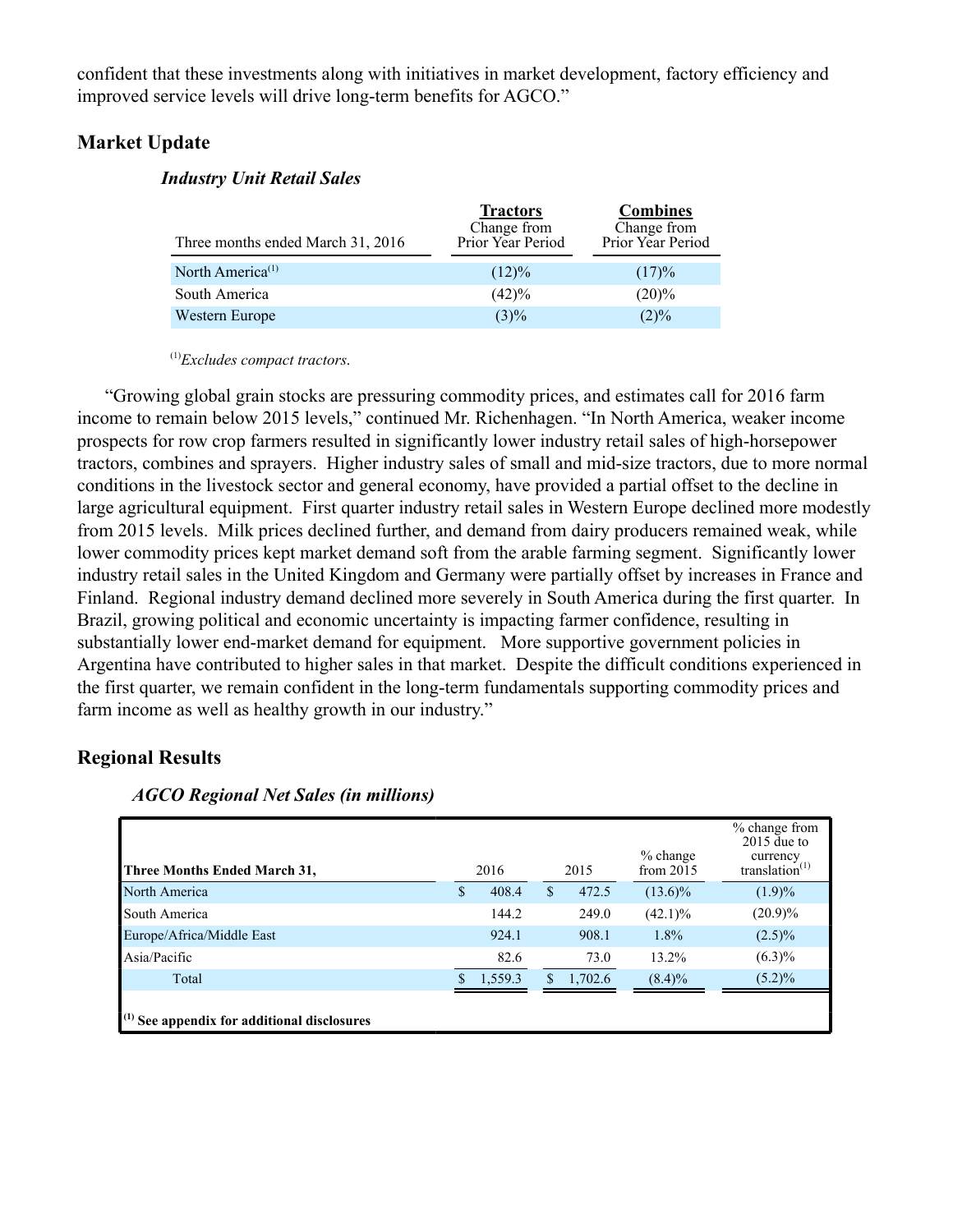confident that these investments along with initiatives in market development, factory efficiency and improved service levels will drive long-term benefits for AGCO."

# **Market Update**

# *Industry Unit Retail Sales*

| Three months ended March 31, 2016 | <b>Tractors</b><br>Change from<br>Prior Year Period | <b>Combines</b><br>Change from<br>Prior Year Period |
|-----------------------------------|-----------------------------------------------------|-----------------------------------------------------|
| North America <sup>(1)</sup>      | $(12)\%$                                            | (17)%                                               |
| South America                     | (42)%                                               | $(20)\%$                                            |
| Western Europe                    | $(3)\%$                                             | $(2)\%$                                             |

(1)*Excludes compact tractors.* 

"Growing global grain stocks are pressuring commodity prices, and estimates call for 2016 farm income to remain below 2015 levels," continued Mr. Richenhagen. "In North America, weaker income prospects for row crop farmers resulted in significantly lower industry retail sales of high-horsepower tractors, combines and sprayers. Higher industry sales of small and mid-size tractors, due to more normal conditions in the livestock sector and general economy, have provided a partial offset to the decline in large agricultural equipment. First quarter industry retail sales in Western Europe declined more modestly from 2015 levels. Milk prices declined further, and demand from dairy producers remained weak, while lower commodity prices kept market demand soft from the arable farming segment. Significantly lower industry retail sales in the United Kingdom and Germany were partially offset by increases in France and Finland. Regional industry demand declined more severely in South America during the first quarter. In Brazil, growing political and economic uncertainty is impacting farmer confidence, resulting in substantially lower end-market demand for equipment. More supportive government policies in Argentina have contributed to higher sales in that market. Despite the difficult conditions experienced in the first quarter, we remain confident in the long-term fundamentals supporting commodity prices and farm income as well as healthy growth in our industry."

# **Regional Results**

| <b>Three Months Ended March 31,</b>           | 2016        |   | 2015    | $%$ change<br>from $2015$ | % change from<br>$2015$ due to<br>currency<br>translation $^{(1)}$ |
|-----------------------------------------------|-------------|---|---------|---------------------------|--------------------------------------------------------------------|
| North America                                 | \$<br>408.4 | S | 472.5   | $(13.6)\%$                | (1.9)%                                                             |
| South America                                 | 144.2       |   | 249.0   | $(42.1)\%$                | $(20.9)\%$                                                         |
| Europe/Africa/Middle East                     | 924.1       |   | 908.1   | 1.8%                      | $(2.5)\%$                                                          |
| Asia/Pacific                                  | 82.6        |   | 73.0    | 13.2%                     | $(6.3)\%$                                                          |
| Total                                         | 1,559.3     | S | 1,702.6 | $(8.4)\%$                 | $(5.2)\%$                                                          |
| $(1)$ See appendix for additional disclosures |             |   |         |                           |                                                                    |

# *AGCO Regional Net Sales (in millions)*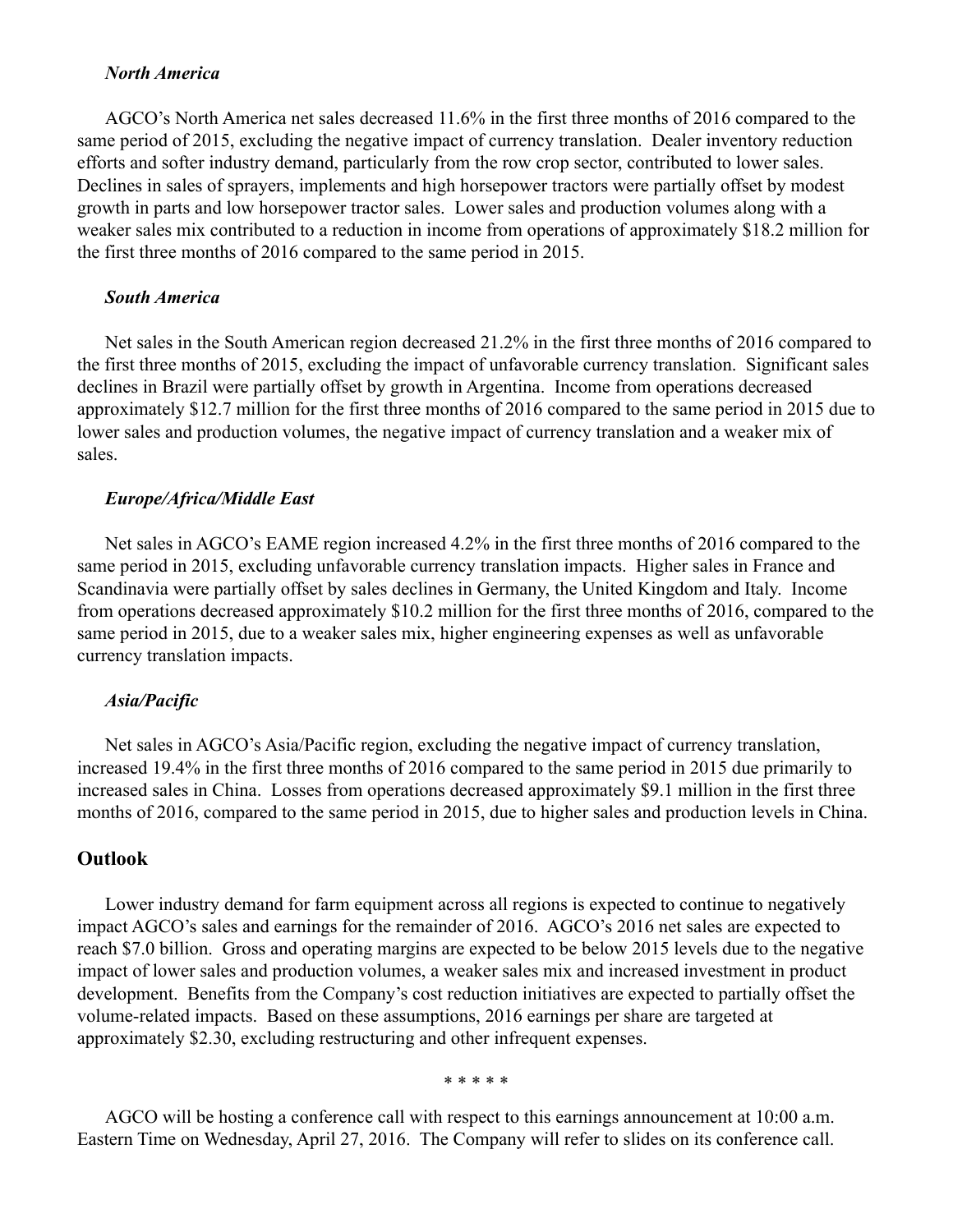### *North America*

AGCO's North America net sales decreased 11.6% in the first three months of 2016 compared to the same period of 2015, excluding the negative impact of currency translation. Dealer inventory reduction efforts and softer industry demand, particularly from the row crop sector, contributed to lower sales. Declines in sales of sprayers, implements and high horsepower tractors were partially offset by modest growth in parts and low horsepower tractor sales. Lower sales and production volumes along with a weaker sales mix contributed to a reduction in income from operations of approximately \$18.2 million for the first three months of 2016 compared to the same period in 2015.

#### *South America*

Net sales in the South American region decreased 21.2% in the first three months of 2016 compared to the first three months of 2015, excluding the impact of unfavorable currency translation. Significant sales declines in Brazil were partially offset by growth in Argentina. Income from operations decreased approximately \$12.7 million for the first three months of 2016 compared to the same period in 2015 due to lower sales and production volumes, the negative impact of currency translation and a weaker mix of sales.

### *Europe/Africa/Middle East*

Net sales in AGCO's EAME region increased 4.2% in the first three months of 2016 compared to the same period in 2015, excluding unfavorable currency translation impacts. Higher sales in France and Scandinavia were partially offset by sales declines in Germany, the United Kingdom and Italy. Income from operations decreased approximately \$10.2 million for the first three months of 2016, compared to the same period in 2015, due to a weaker sales mix, higher engineering expenses as well as unfavorable currency translation impacts.

### *Asia/Pacific*

Net sales in AGCO's Asia/Pacific region, excluding the negative impact of currency translation, increased 19.4% in the first three months of 2016 compared to the same period in 2015 due primarily to increased sales in China. Losses from operations decreased approximately \$9.1 million in the first three months of 2016, compared to the same period in 2015, due to higher sales and production levels in China.

### **Outlook**

Lower industry demand for farm equipment across all regions is expected to continue to negatively impact AGCO's sales and earnings for the remainder of 2016. AGCO's 2016 net sales are expected to reach \$7.0 billion. Gross and operating margins are expected to be below 2015 levels due to the negative impact of lower sales and production volumes, a weaker sales mix and increased investment in product development. Benefits from the Company's cost reduction initiatives are expected to partially offset the volume-related impacts. Based on these assumptions, 2016 earnings per share are targeted at approximately \$2.30, excluding restructuring and other infrequent expenses.

\* \* \* \* \*

AGCO will be hosting a conference call with respect to this earnings announcement at 10:00 a.m. Eastern Time on Wednesday, April 27, 2016. The Company will refer to slides on its conference call.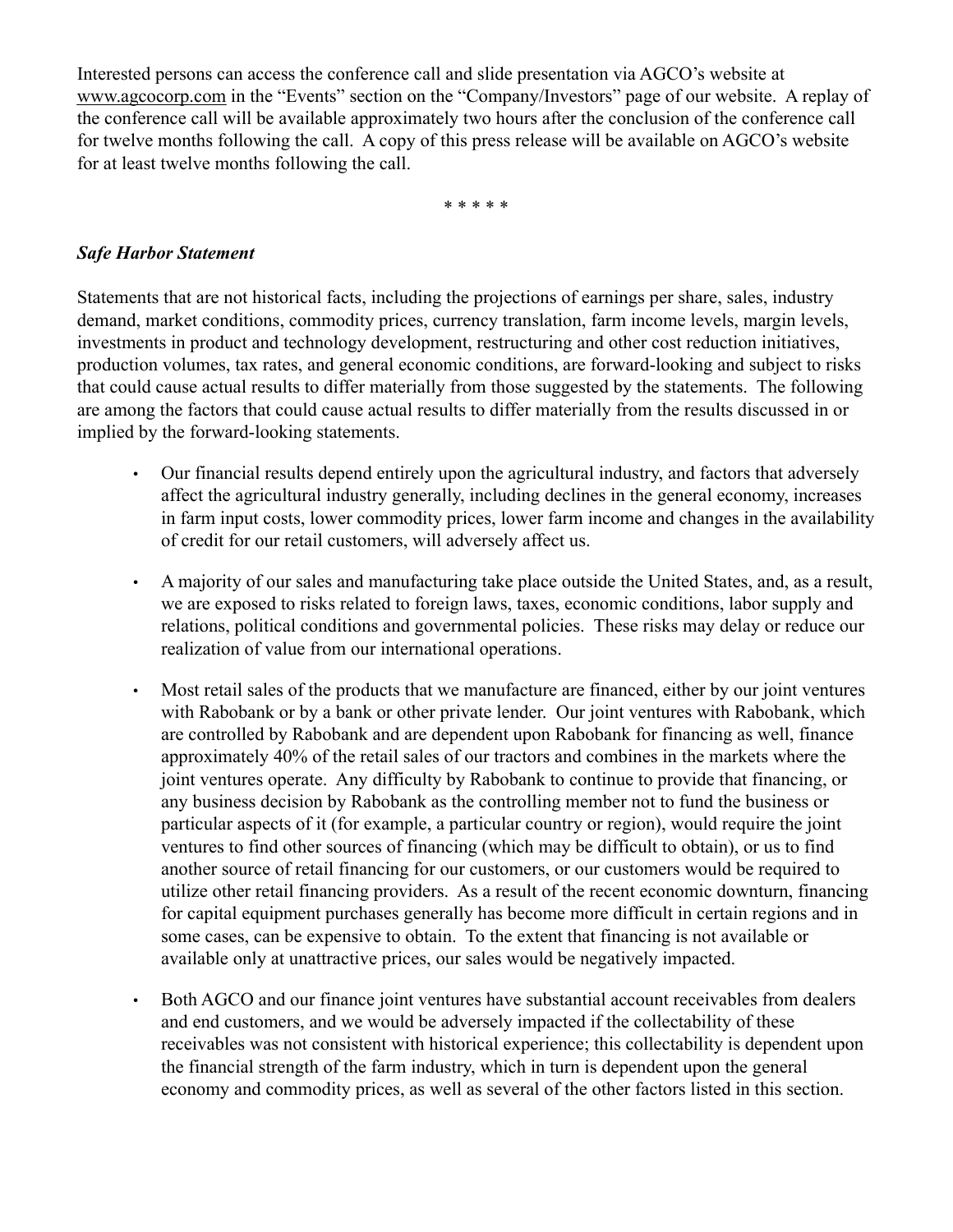Interested persons can access the conference call and slide presentation via AGCO's website at www.agcocorp.com in the "Events" section on the "Company/Investors" page of our website. A replay of the conference call will be available approximately two hours after the conclusion of the conference call for twelve months following the call. A copy of this press release will be available on AGCO's website for at least twelve months following the call.

\* \* \* \* \*

## *Safe Harbor Statement*

Statements that are not historical facts, including the projections of earnings per share, sales, industry demand, market conditions, commodity prices, currency translation, farm income levels, margin levels, investments in product and technology development, restructuring and other cost reduction initiatives, production volumes, tax rates, and general economic conditions, are forward-looking and subject to risks that could cause actual results to differ materially from those suggested by the statements. The following are among the factors that could cause actual results to differ materially from the results discussed in or implied by the forward-looking statements.

- Our financial results depend entirely upon the agricultural industry, and factors that adversely affect the agricultural industry generally, including declines in the general economy, increases in farm input costs, lower commodity prices, lower farm income and changes in the availability of credit for our retail customers, will adversely affect us.
- A majority of our sales and manufacturing take place outside the United States, and, as a result, we are exposed to risks related to foreign laws, taxes, economic conditions, labor supply and relations, political conditions and governmental policies. These risks may delay or reduce our realization of value from our international operations.
- Most retail sales of the products that we manufacture are financed, either by our joint ventures with Rabobank or by a bank or other private lender. Our joint ventures with Rabobank, which are controlled by Rabobank and are dependent upon Rabobank for financing as well, finance approximately 40% of the retail sales of our tractors and combines in the markets where the joint ventures operate. Any difficulty by Rabobank to continue to provide that financing, or any business decision by Rabobank as the controlling member not to fund the business or particular aspects of it (for example, a particular country or region), would require the joint ventures to find other sources of financing (which may be difficult to obtain), or us to find another source of retail financing for our customers, or our customers would be required to utilize other retail financing providers. As a result of the recent economic downturn, financing for capital equipment purchases generally has become more difficult in certain regions and in some cases, can be expensive to obtain. To the extent that financing is not available or available only at unattractive prices, our sales would be negatively impacted.
- Both AGCO and our finance joint ventures have substantial account receivables from dealers and end customers, and we would be adversely impacted if the collectability of these receivables was not consistent with historical experience; this collectability is dependent upon the financial strength of the farm industry, which in turn is dependent upon the general economy and commodity prices, as well as several of the other factors listed in this section.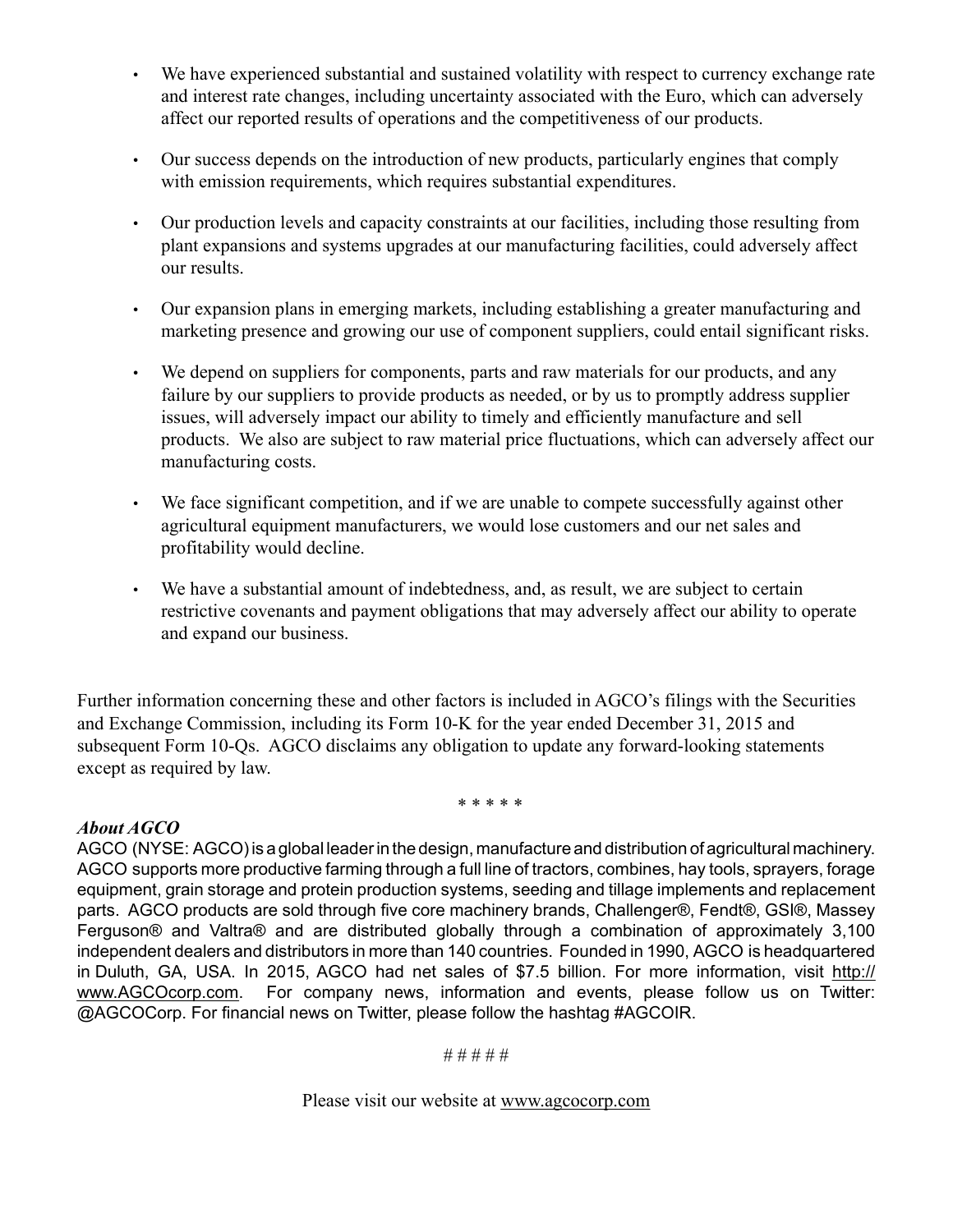- We have experienced substantial and sustained volatility with respect to currency exchange rate and interest rate changes, including uncertainty associated with the Euro, which can adversely affect our reported results of operations and the competitiveness of our products.
- Our success depends on the introduction of new products, particularly engines that comply with emission requirements, which requires substantial expenditures.
- Our production levels and capacity constraints at our facilities, including those resulting from plant expansions and systems upgrades at our manufacturing facilities, could adversely affect our results.
- Our expansion plans in emerging markets, including establishing a greater manufacturing and marketing presence and growing our use of component suppliers, could entail significant risks.
- We depend on suppliers for components, parts and raw materials for our products, and any failure by our suppliers to provide products as needed, or by us to promptly address supplier issues, will adversely impact our ability to timely and efficiently manufacture and sell products. We also are subject to raw material price fluctuations, which can adversely affect our manufacturing costs.
- We face significant competition, and if we are unable to compete successfully against other agricultural equipment manufacturers, we would lose customers and our net sales and profitability would decline.
- We have a substantial amount of indebtedness, and, as result, we are subject to certain restrictive covenants and payment obligations that may adversely affect our ability to operate and expand our business.

Further information concerning these and other factors is included in AGCO's filings with the Securities and Exchange Commission, including its Form 10-K for the year ended December 31, 2015 and subsequent Form 10-Qs. AGCO disclaims any obligation to update any forward-looking statements except as required by law.

\* \* \* \* \*

# *About AGCO*

AGCO (NYSE: AGCO) is a global leader in the design, manufacture and distribution of agricultural machinery. AGCO supports more productive farming through a full line of tractors, combines, hay tools, sprayers, forage equipment, grain storage and protein production systems, seeding and tillage implements and replacement parts. AGCO products are sold through five core machinery brands, Challenger®, Fendt®, GSI®, Massey Ferguson® and Valtra® and are distributed globally through a combination of approximately 3,100 independent dealers and distributors in more than 140 countries. Founded in 1990, AGCO is headquartered in Duluth, GA, USA. In 2015, AGCO had net sales of \$7.5 billion. For more information, visit http:// www.AGCOcorp.com. For company news, information and events, please follow us on Twitter: @AGCOCorp. For financial news on Twitter, please follow the hashtag #AGCOIR.

## # # # # #

## Please visit our website at www.agcocorp.com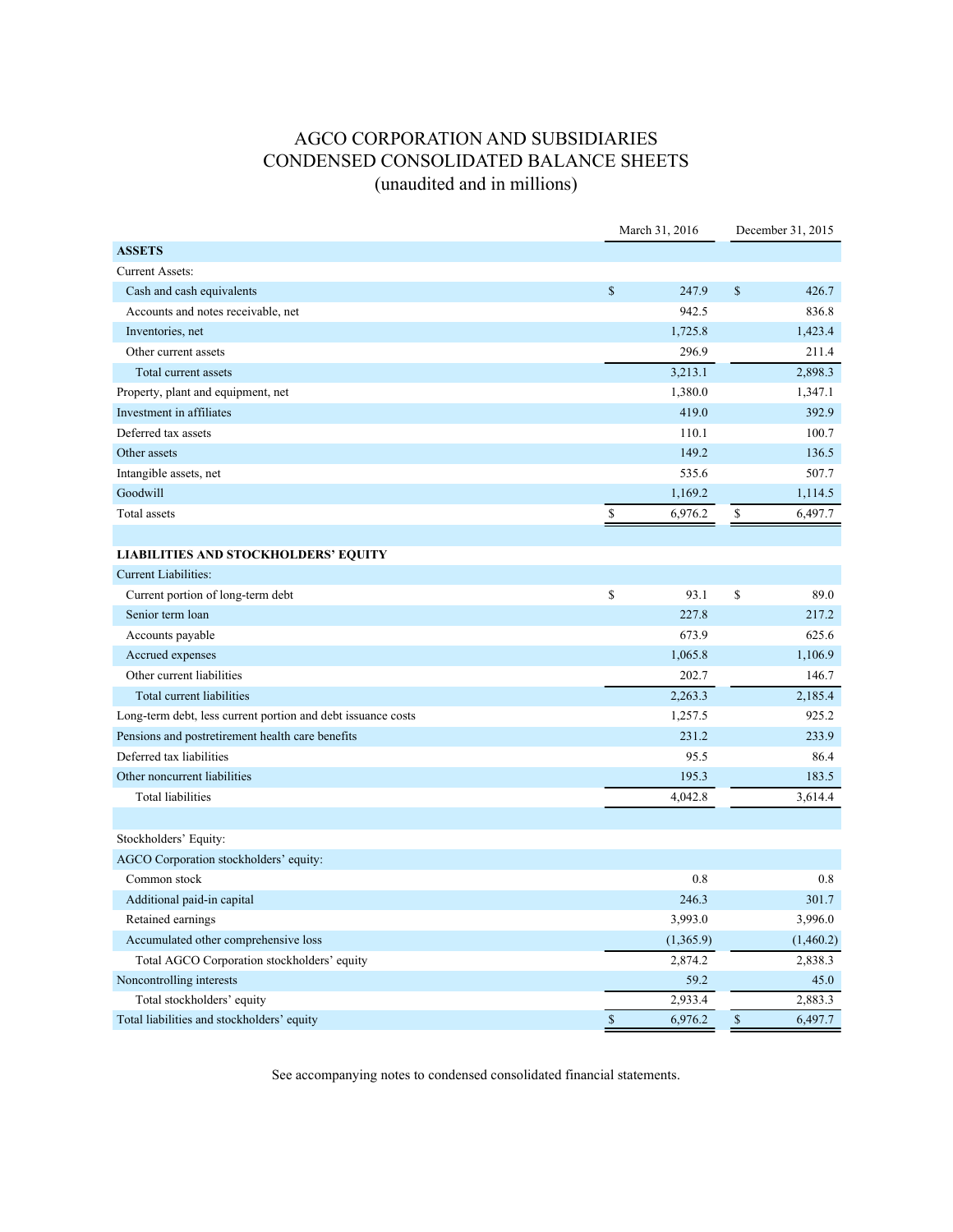# AGCO CORPORATION AND SUBSIDIARIES CONDENSED CONSOLIDATED BALANCE SHEETS (unaudited and in millions)

|                                                              |                                   | March 31, 2016 | December 31, 2015 |           |  |
|--------------------------------------------------------------|-----------------------------------|----------------|-------------------|-----------|--|
| <b>ASSETS</b>                                                |                                   |                |                   |           |  |
| <b>Current Assets:</b>                                       |                                   |                |                   |           |  |
| Cash and cash equivalents                                    | $\mathbb{S}$                      | 247.9          | $\mathbb{S}$      | 426.7     |  |
| Accounts and notes receivable, net                           |                                   | 942.5          |                   | 836.8     |  |
| Inventories, net                                             |                                   | 1,725.8        |                   | 1,423.4   |  |
| Other current assets                                         |                                   | 296.9          |                   | 211.4     |  |
| Total current assets                                         |                                   | 3,213.1        |                   | 2,898.3   |  |
| Property, plant and equipment, net                           |                                   | 1,380.0        |                   | 1,347.1   |  |
| Investment in affiliates                                     |                                   | 419.0          |                   | 392.9     |  |
| Deferred tax assets                                          |                                   | 110.1          |                   | 100.7     |  |
| Other assets                                                 |                                   | 149.2          |                   | 136.5     |  |
| Intangible assets, net                                       |                                   | 535.6          |                   | 507.7     |  |
| Goodwill                                                     |                                   | 1,169.2        |                   | 1,114.5   |  |
| Total assets                                                 | $\mathbb{S}% _{t}\left( t\right)$ | 6,976.2        | \$                | 6,497.7   |  |
|                                                              |                                   |                |                   |           |  |
| <b>LIABILITIES AND STOCKHOLDERS' EQUITY</b>                  |                                   |                |                   |           |  |
| <b>Current Liabilities:</b>                                  |                                   |                |                   |           |  |
| Current portion of long-term debt                            | \$                                | 93.1           | \$                | 89.0      |  |
| Senior term loan                                             |                                   | 227.8          |                   | 217.2     |  |
| Accounts payable                                             |                                   | 673.9          |                   | 625.6     |  |
| Accrued expenses                                             |                                   | 1,065.8        |                   | 1,106.9   |  |
| Other current liabilities                                    |                                   | 202.7          |                   | 146.7     |  |
| Total current liabilities                                    |                                   | 2,263.3        |                   | 2,185.4   |  |
| Long-term debt, less current portion and debt issuance costs |                                   | 1,257.5        |                   | 925.2     |  |
| Pensions and postretirement health care benefits             |                                   | 231.2          |                   | 233.9     |  |
| Deferred tax liabilities                                     |                                   | 95.5           |                   | 86.4      |  |
| Other noncurrent liabilities                                 |                                   | 195.3          |                   | 183.5     |  |
| <b>Total liabilities</b>                                     |                                   | 4,042.8        |                   | 3,614.4   |  |
|                                                              |                                   |                |                   |           |  |
| Stockholders' Equity:                                        |                                   |                |                   |           |  |
| AGCO Corporation stockholders' equity:                       |                                   |                |                   |           |  |
| Common stock                                                 |                                   | 0.8            |                   | 0.8       |  |
| Additional paid-in capital                                   |                                   | 246.3          |                   | 301.7     |  |
| Retained earnings                                            |                                   | 3,993.0        |                   | 3,996.0   |  |
| Accumulated other comprehensive loss                         |                                   | (1,365.9)      |                   | (1,460.2) |  |
| Total AGCO Corporation stockholders' equity                  |                                   | 2,874.2        |                   | 2,838.3   |  |
| Noncontrolling interests                                     |                                   | 59.2           |                   | 45.0      |  |
| Total stockholders' equity                                   |                                   | 2,933.4        |                   | 2,883.3   |  |
| Total liabilities and stockholders' equity                   | $\sqrt{\frac{2}{5}}$              | 6,976.2        | $\mathbb{S}$      | 6,497.7   |  |

See accompanying notes to condensed consolidated financial statements.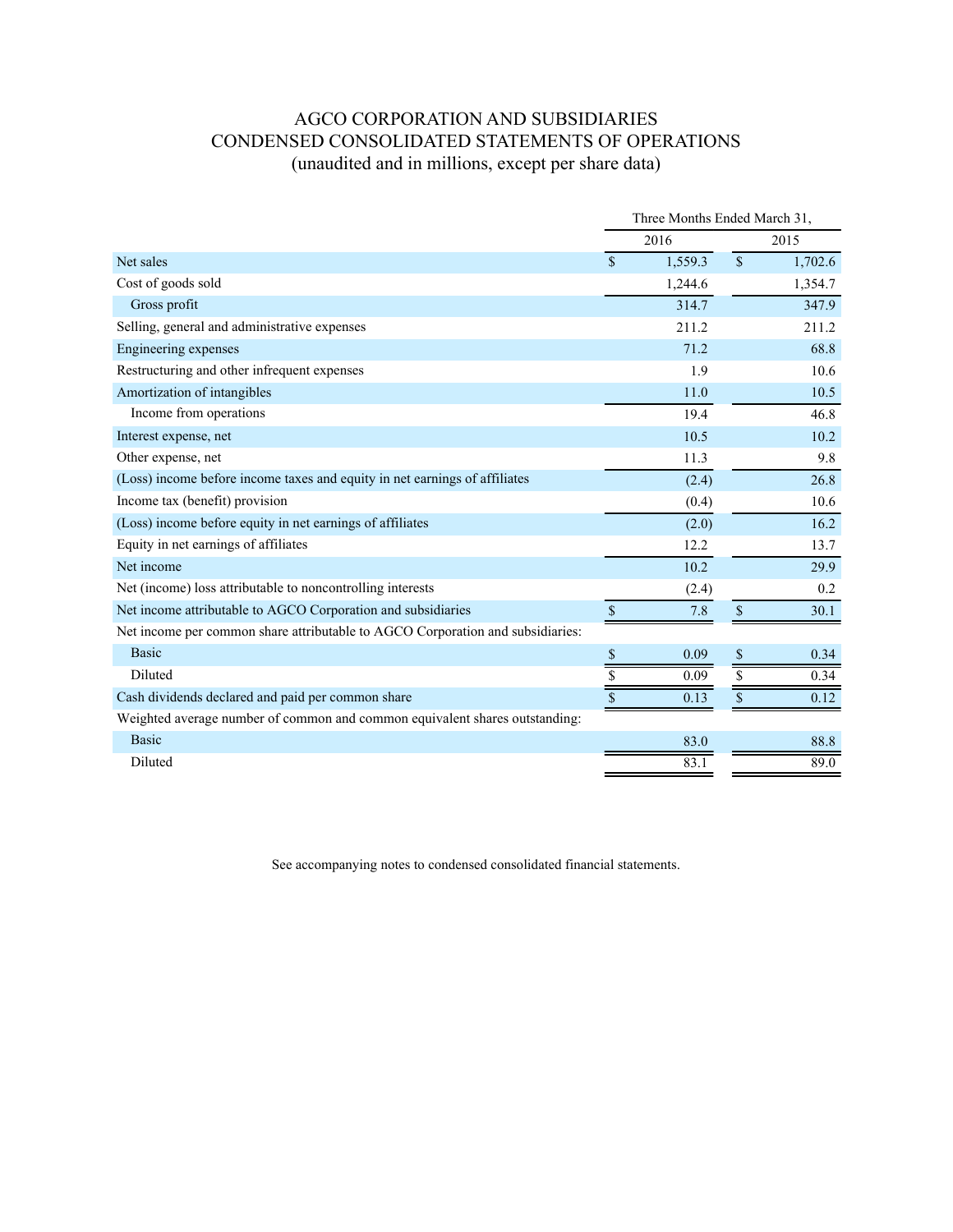# AGCO CORPORATION AND SUBSIDIARIES CONDENSED CONSOLIDATED STATEMENTS OF OPERATIONS (unaudited and in millions, except per share data)

|                                                                                | Three Months Ended March 31, |         |                 |         |  |  |
|--------------------------------------------------------------------------------|------------------------------|---------|-----------------|---------|--|--|
|                                                                                |                              | 2016    |                 | 2015    |  |  |
| Net sales                                                                      | $\mathbf S$                  | 1,559.3 | $\mathbf S$     | 1,702.6 |  |  |
| Cost of goods sold                                                             |                              | 1,244.6 |                 | 1,354.7 |  |  |
| Gross profit                                                                   |                              | 314.7   |                 | 347.9   |  |  |
| Selling, general and administrative expenses                                   |                              | 211.2   |                 | 211.2   |  |  |
| Engineering expenses                                                           |                              | 71.2    |                 | 68.8    |  |  |
| Restructuring and other infrequent expenses                                    |                              | 1.9     |                 | 10.6    |  |  |
| Amortization of intangibles                                                    |                              | 11.0    |                 | 10.5    |  |  |
| Income from operations                                                         |                              | 19.4    |                 | 46.8    |  |  |
| Interest expense, net                                                          |                              | 10.5    |                 | 10.2    |  |  |
| Other expense, net                                                             |                              | 11.3    |                 | 9.8     |  |  |
| (Loss) income before income taxes and equity in net earnings of affiliates     |                              | (2.4)   |                 | 26.8    |  |  |
| Income tax (benefit) provision                                                 |                              | (0.4)   |                 | 10.6    |  |  |
| (Loss) income before equity in net earnings of affiliates                      |                              | (2.0)   |                 | 16.2    |  |  |
| Equity in net earnings of affiliates                                           |                              | 12.2    |                 | 13.7    |  |  |
| Net income                                                                     |                              | 10.2    |                 | 29.9    |  |  |
| Net (income) loss attributable to noncontrolling interests                     |                              | (2.4)   |                 | 0.2     |  |  |
| Net income attributable to AGCO Corporation and subsidiaries                   | $\mathsf{\$}$                | 7.8     | \$              | 30.1    |  |  |
| Net income per common share attributable to AGCO Corporation and subsidiaries: |                              |         |                 |         |  |  |
| <b>Basic</b>                                                                   | \$                           | 0.09    | \$              | 0.34    |  |  |
| Diluted                                                                        | \$                           | 0.09    | \$              | 0.34    |  |  |
| Cash dividends declared and paid per common share                              | \$                           | 0.13    | $\overline{\$}$ | 0.12    |  |  |
| Weighted average number of common and common equivalent shares outstanding:    |                              |         |                 |         |  |  |
| <b>Basic</b>                                                                   |                              | 83.0    |                 | 88.8    |  |  |
| Diluted                                                                        |                              | 83.1    |                 | 89.0    |  |  |

See accompanying notes to condensed consolidated financial statements.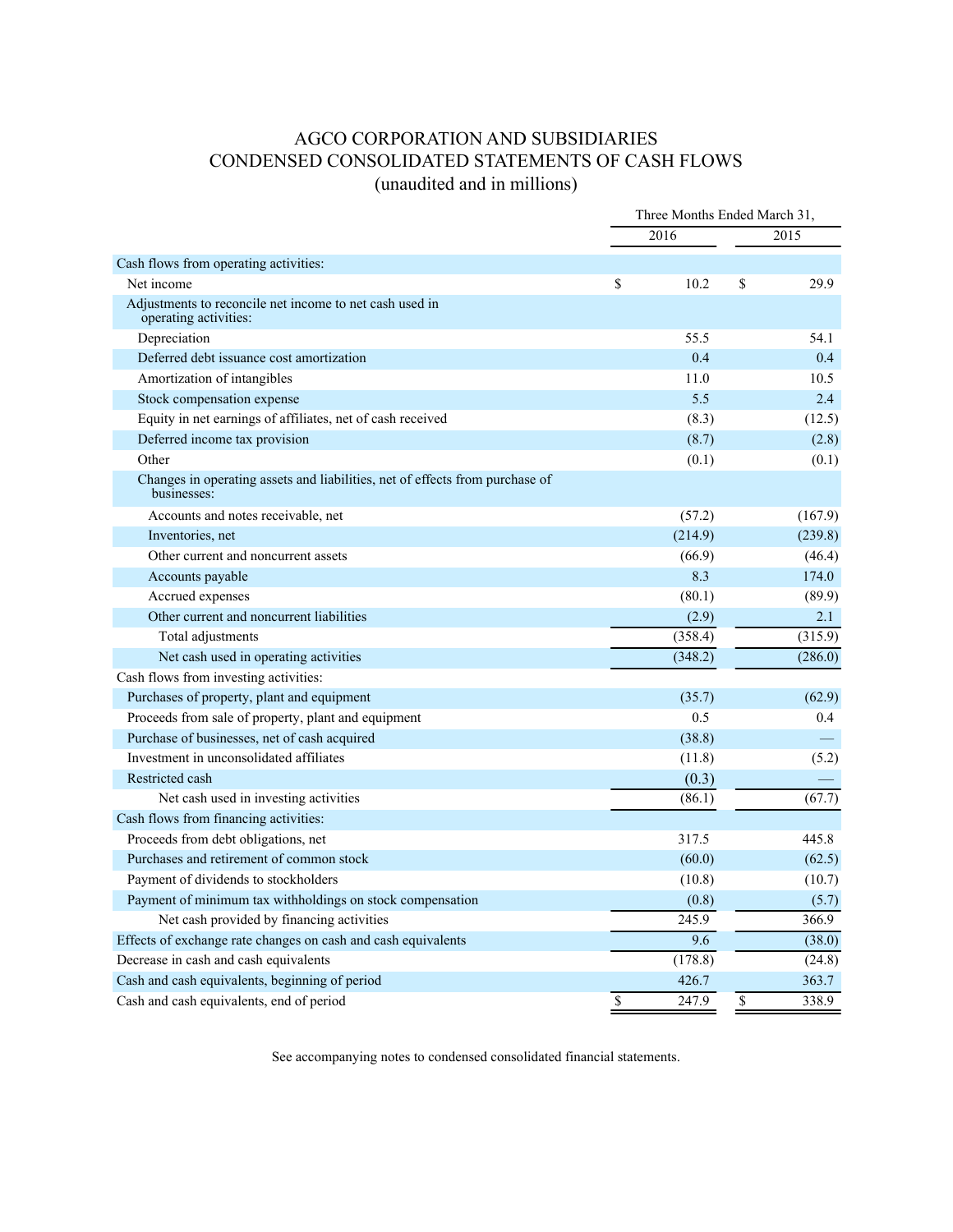# AGCO CORPORATION AND SUBSIDIARIES CONDENSED CONSOLIDATED STATEMENTS OF CASH FLOWS (unaudited and in millions)

|                                                                                             |    | Three Months Ended March 31, |    |         |
|---------------------------------------------------------------------------------------------|----|------------------------------|----|---------|
|                                                                                             |    | 2016                         |    | 2015    |
| Cash flows from operating activities:                                                       |    |                              |    |         |
| Net income                                                                                  | \$ | 10.2                         | \$ | 29.9    |
| Adjustments to reconcile net income to net cash used in<br>operating activities:            |    |                              |    |         |
| Depreciation                                                                                |    | 55.5                         |    | 54.1    |
| Deferred debt issuance cost amortization                                                    |    | 0.4                          |    | 0.4     |
| Amortization of intangibles                                                                 |    | 11.0                         |    | 10.5    |
| Stock compensation expense                                                                  |    | 5.5                          |    | 2.4     |
| Equity in net earnings of affiliates, net of cash received                                  |    | (8.3)                        |    | (12.5)  |
| Deferred income tax provision                                                               |    | (8.7)                        |    | (2.8)   |
| Other                                                                                       |    | (0.1)                        |    | (0.1)   |
| Changes in operating assets and liabilities, net of effects from purchase of<br>businesses: |    |                              |    |         |
| Accounts and notes receivable, net                                                          |    | (57.2)                       |    | (167.9) |
| Inventories, net                                                                            |    | (214.9)                      |    | (239.8) |
| Other current and noncurrent assets                                                         |    | (66.9)                       |    | (46.4)  |
| Accounts payable                                                                            |    | 8.3                          |    | 174.0   |
| Accrued expenses                                                                            |    | (80.1)                       |    | (89.9)  |
| Other current and noncurrent liabilities                                                    |    | (2.9)                        |    | 2.1     |
| Total adjustments                                                                           |    | (358.4)                      |    | (315.9) |
| Net cash used in operating activities                                                       |    | (348.2)                      |    | (286.0) |
| Cash flows from investing activities:                                                       |    |                              |    |         |
| Purchases of property, plant and equipment                                                  |    | (35.7)                       |    | (62.9)  |
| Proceeds from sale of property, plant and equipment                                         |    | 0.5                          |    | 0.4     |
| Purchase of businesses, net of cash acquired                                                |    | (38.8)                       |    |         |
| Investment in unconsolidated affiliates                                                     |    | (11.8)                       |    | (5.2)   |
| Restricted cash                                                                             |    | (0.3)                        |    |         |
| Net cash used in investing activities                                                       |    | (86.1)                       |    | (67.7)  |
| Cash flows from financing activities:                                                       |    |                              |    |         |
| Proceeds from debt obligations, net                                                         |    | 317.5                        |    | 445.8   |
| Purchases and retirement of common stock                                                    |    | (60.0)                       |    | (62.5)  |
| Payment of dividends to stockholders                                                        |    | (10.8)                       |    | (10.7)  |
| Payment of minimum tax withholdings on stock compensation                                   |    | (0.8)                        |    | (5.7)   |
| Net cash provided by financing activities                                                   |    | 245.9                        |    | 366.9   |
| Effects of exchange rate changes on cash and cash equivalents                               |    | 9.6                          |    | (38.0)  |
| Decrease in cash and cash equivalents                                                       |    | (178.8)                      |    | (24.8)  |
| Cash and cash equivalents, beginning of period                                              |    | 426.7                        |    | 363.7   |
| Cash and cash equivalents, end of period                                                    | \$ | 247.9                        | \$ | 338.9   |

See accompanying notes to condensed consolidated financial statements.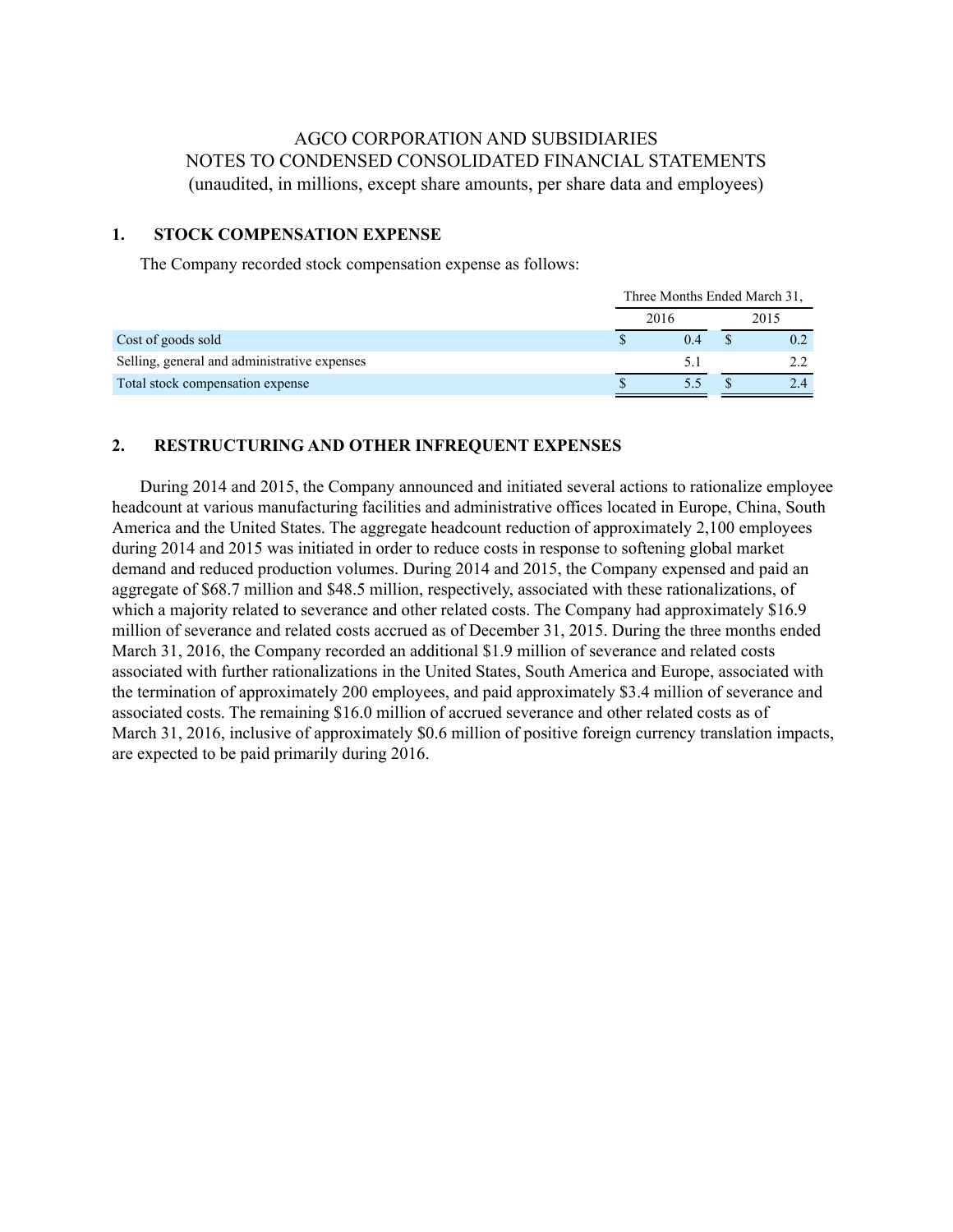# AGCO CORPORATION AND SUBSIDIARIES NOTES TO CONDENSED CONSOLIDATED FINANCIAL STATEMENTS (unaudited, in millions, except share amounts, per share data and employees)

### **1. STOCK COMPENSATION EXPENSE**

The Company recorded stock compensation expense as follows:

|                                              |      | Three Months Ended March 31. |  |         |
|----------------------------------------------|------|------------------------------|--|---------|
|                                              | 2016 |                              |  | 2015    |
| Cost of goods sold                           |      | 0.4                          |  | $0.2\,$ |
| Selling, general and administrative expenses |      | 5.1                          |  |         |
| Total stock compensation expense             |      |                              |  | 2.4     |

### **2. RESTRUCTURING AND OTHER INFREQUENT EXPENSES**

During 2014 and 2015, the Company announced and initiated several actions to rationalize employee headcount at various manufacturing facilities and administrative offices located in Europe, China, South America and the United States. The aggregate headcount reduction of approximately 2,100 employees during 2014 and 2015 was initiated in order to reduce costs in response to softening global market demand and reduced production volumes. During 2014 and 2015, the Company expensed and paid an aggregate of \$68.7 million and \$48.5 million, respectively, associated with these rationalizations, of which a majority related to severance and other related costs. The Company had approximately \$16.9 million of severance and related costs accrued as of December 31, 2015. During the three months ended March 31, 2016, the Company recorded an additional \$1.9 million of severance and related costs associated with further rationalizations in the United States, South America and Europe, associated with the termination of approximately 200 employees, and paid approximately \$3.4 million of severance and associated costs. The remaining \$16.0 million of accrued severance and other related costs as of March 31, 2016, inclusive of approximately \$0.6 million of positive foreign currency translation impacts, are expected to be paid primarily during 2016.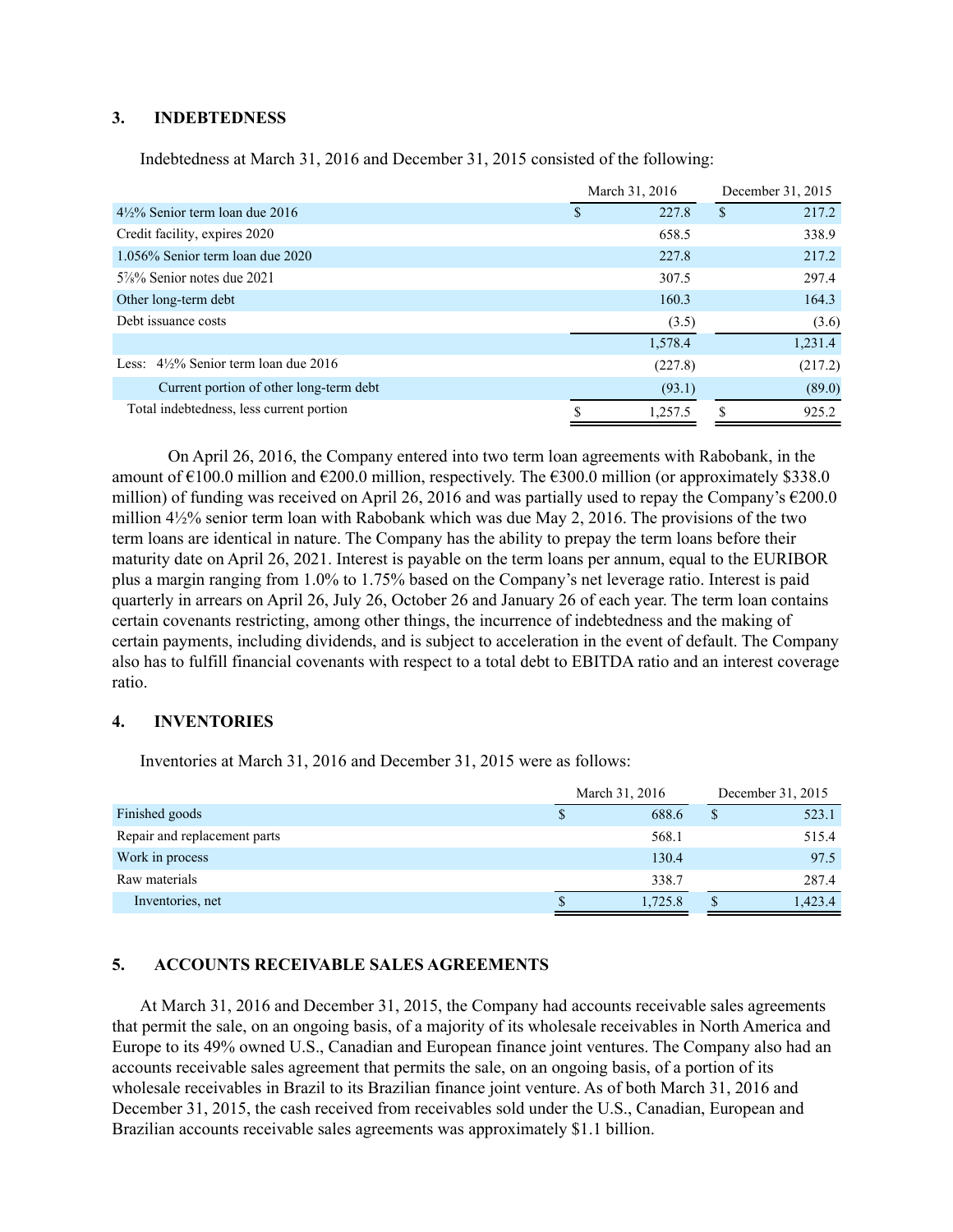#### **3. INDEBTEDNESS**

Indebtedness at March 31, 2016 and December 31, 2015 consisted of the following:

|                                                  |     | March 31, 2016 |   | December 31, 2015 |
|--------------------------------------------------|-----|----------------|---|-------------------|
| $4\frac{1}{2}\%$ Senior term loan due 2016       | \$. | 227.8          | S | 217.2             |
| Credit facility, expires 2020                    |     | 658.5          |   | 338.9             |
| 1.056% Senior term loan due 2020                 |     | 227.8          |   | 217.2             |
| $5\frac{7}{8}$ % Senior notes due 2021           |     | 307.5          |   | 297.4             |
| Other long-term debt                             |     | 160.3          |   | 164.3             |
| Debt issuance costs                              |     | (3.5)          |   | (3.6)             |
|                                                  |     | 1,578.4        |   | 1,231.4           |
| Less: $4\frac{1}{2}\%$ Senior term loan due 2016 |     | (227.8)        |   | (217.2)           |
| Current portion of other long-term debt          |     | (93.1)         |   | (89.0)            |
| Total indebtedness, less current portion         | S   | 1.257.5        | S | 925.2             |

On April 26, 2016, the Company entered into two term loan agreements with Rabobank, in the amount of  $\epsilon$ 100.0 million and  $\epsilon$ 200.0 million, respectively. The  $\epsilon$ 300.0 million (or approximately \$338.0 million) of funding was received on April 26, 2016 and was partially used to repay the Company's  $\epsilon$ 200.0 million 4½% senior term loan with Rabobank which was due May 2, 2016. The provisions of the two term loans are identical in nature. The Company has the ability to prepay the term loans before their maturity date on April 26, 2021. Interest is payable on the term loans per annum, equal to the EURIBOR plus a margin ranging from 1.0% to 1.75% based on the Company's net leverage ratio. Interest is paid quarterly in arrears on April 26, July 26, October 26 and January 26 of each year. The term loan contains certain covenants restricting, among other things, the incurrence of indebtedness and the making of certain payments, including dividends, and is subject to acceleration in the event of default. The Company also has to fulfill financial covenants with respect to a total debt to EBITDA ratio and an interest coverage ratio.

### **4. INVENTORIES**

Inventories at March 31, 2016 and December 31, 2015 were as follows:

|                              | March 31, 2016 |         |   | December 31, 2015 |
|------------------------------|----------------|---------|---|-------------------|
| Finished goods               |                | 688.6   | S | 523.1             |
| Repair and replacement parts |                | 568.1   |   | 515.4             |
| Work in process              |                | 130.4   |   | 97.5              |
| Raw materials                |                | 338.7   |   | 287.4             |
| Inventories, net             |                | 1,725.8 |   | 1.423.4           |

### **5. ACCOUNTS RECEIVABLE SALES AGREEMENTS**

At March 31, 2016 and December 31, 2015, the Company had accounts receivable sales agreements that permit the sale, on an ongoing basis, of a majority of its wholesale receivables in North America and Europe to its 49% owned U.S., Canadian and European finance joint ventures. The Company also had an accounts receivable sales agreement that permits the sale, on an ongoing basis, of a portion of its wholesale receivables in Brazil to its Brazilian finance joint venture. As of both March 31, 2016 and December 31, 2015, the cash received from receivables sold under the U.S., Canadian, European and Brazilian accounts receivable sales agreements was approximately \$1.1 billion.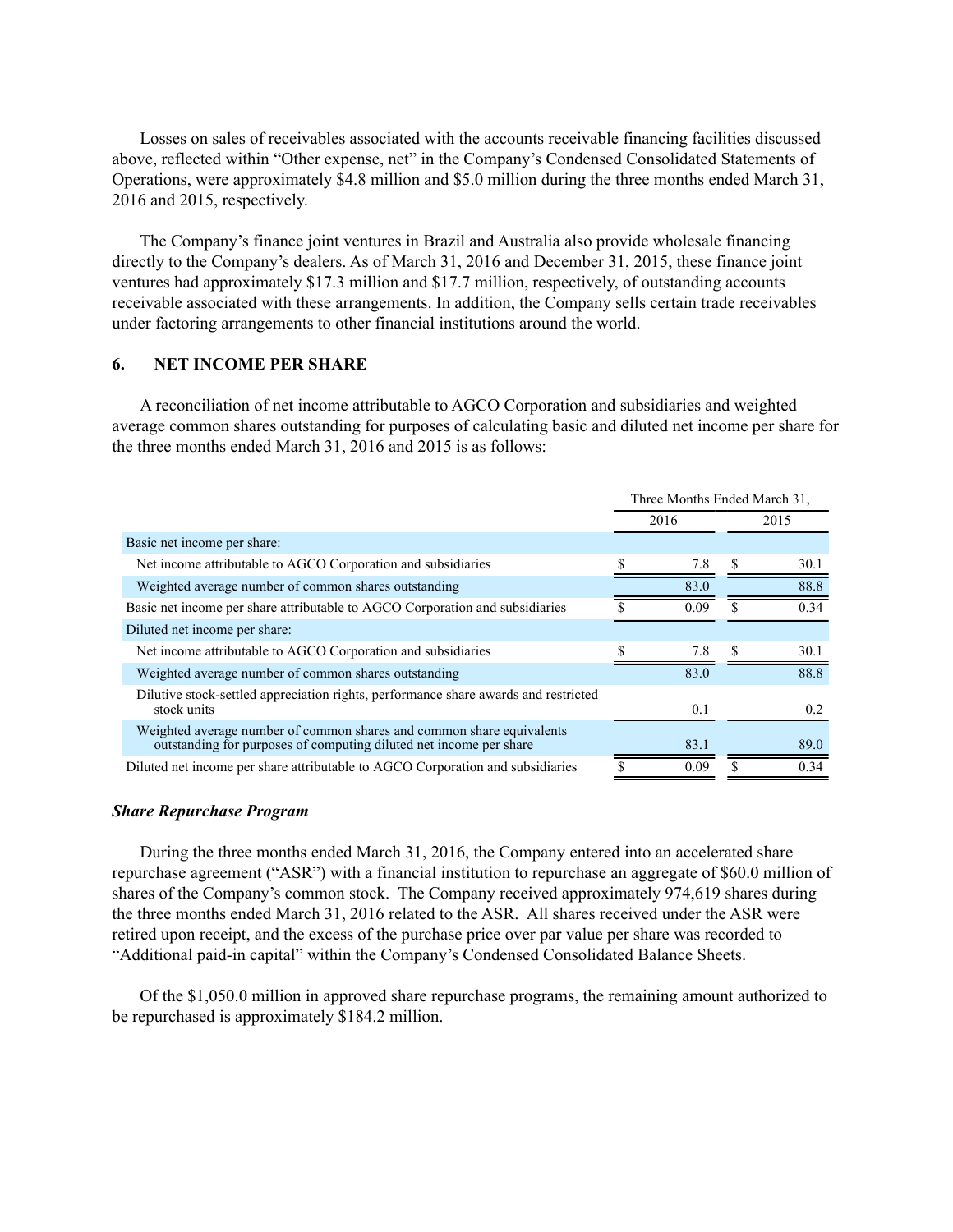Losses on sales of receivables associated with the accounts receivable financing facilities discussed above, reflected within "Other expense, net" in the Company's Condensed Consolidated Statements of Operations, were approximately \$4.8 million and \$5.0 million during the three months ended March 31, 2016 and 2015, respectively.

The Company's finance joint ventures in Brazil and Australia also provide wholesale financing directly to the Company's dealers. As of March 31, 2016 and December 31, 2015, these finance joint ventures had approximately \$17.3 million and \$17.7 million, respectively, of outstanding accounts receivable associated with these arrangements. In addition, the Company sells certain trade receivables under factoring arrangements to other financial institutions around the world.

#### **6. NET INCOME PER SHARE**

A reconciliation of net income attributable to AGCO Corporation and subsidiaries and weighted average common shares outstanding for purposes of calculating basic and diluted net income per share for the three months ended March 31, 2016 and 2015 is as follows:

|                                                                                                                                             | Three Months Ended March 31, |            |
|---------------------------------------------------------------------------------------------------------------------------------------------|------------------------------|------------|
|                                                                                                                                             | 2016                         | 2015       |
| Basic net income per share:                                                                                                                 |                              |            |
| Net income attributable to AGCO Corporation and subsidiaries                                                                                | 7.8                          | 30.1       |
| Weighted average number of common shares outstanding                                                                                        | 83.0                         | 88.8       |
| Basic net income per share attributable to AGCO Corporation and subsidiaries                                                                | 0.09                         | 0.34       |
| Diluted net income per share:                                                                                                               |                              |            |
| Net income attributable to AGCO Corporation and subsidiaries                                                                                | 7.8                          | \$<br>30.1 |
| Weighted average number of common shares outstanding                                                                                        | 83.0                         | 88.8       |
| Dilutive stock-settled appreciation rights, performance share awards and restricted<br>stock units                                          | 0.1                          | 0.2        |
| Weighted average number of common shares and common share equivalents<br>outstanding for purposes of computing diluted net income per share | 83.1                         | 89.0       |
| Diluted net income per share attributable to AGCO Corporation and subsidiaries                                                              | 0.09                         | 0.34       |

#### *Share Repurchase Program*

During the three months ended March 31, 2016, the Company entered into an accelerated share repurchase agreement ("ASR") with a financial institution to repurchase an aggregate of \$60.0 million of shares of the Company's common stock. The Company received approximately 974,619 shares during the three months ended March 31, 2016 related to the ASR. All shares received under the ASR were retired upon receipt, and the excess of the purchase price over par value per share was recorded to "Additional paid-in capital" within the Company's Condensed Consolidated Balance Sheets.

Of the \$1,050.0 million in approved share repurchase programs, the remaining amount authorized to be repurchased is approximately \$184.2 million.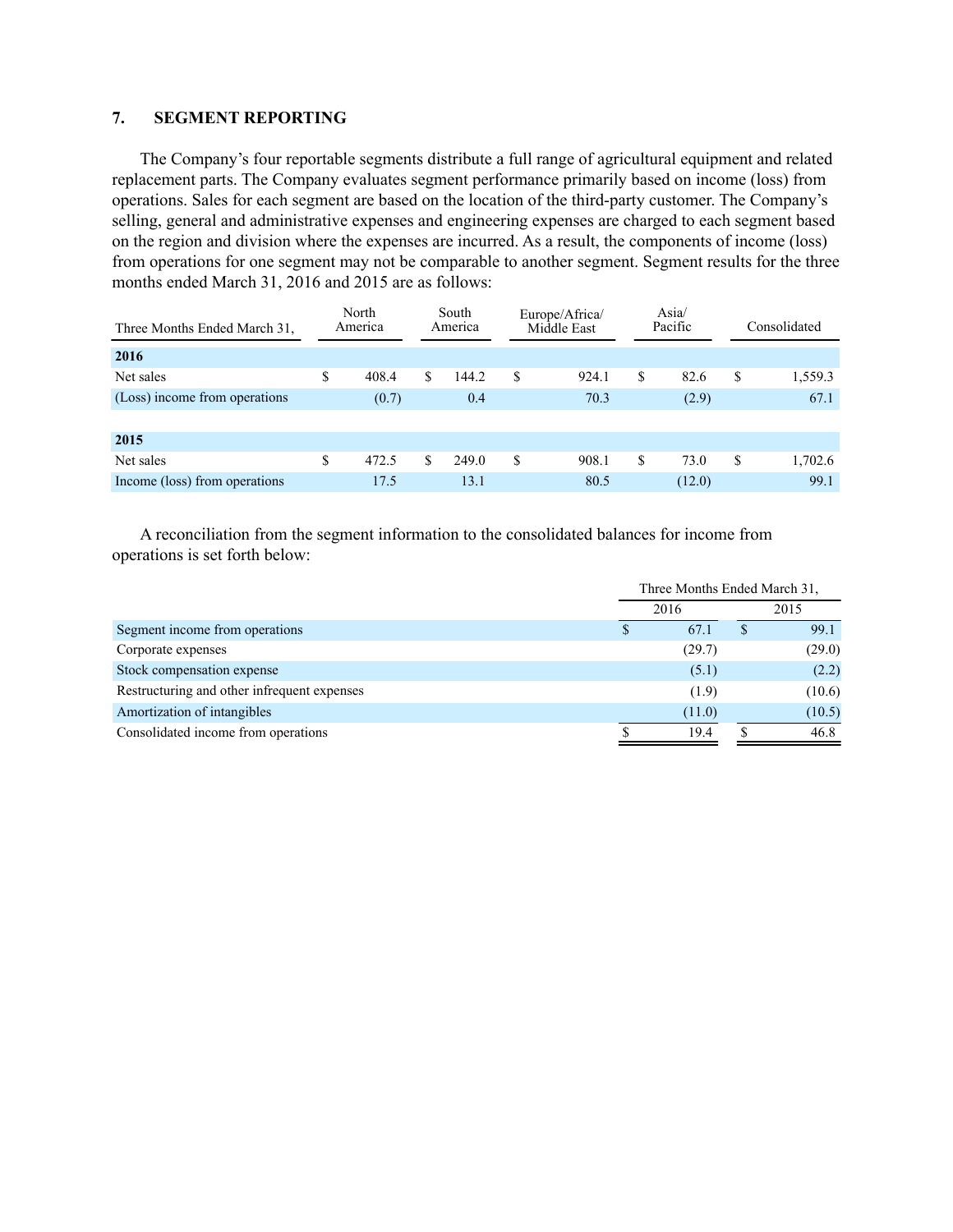#### **7. SEGMENT REPORTING**

The Company's four reportable segments distribute a full range of agricultural equipment and related replacement parts. The Company evaluates segment performance primarily based on income (loss) from operations. Sales for each segment are based on the location of the third-party customer. The Company's selling, general and administrative expenses and engineering expenses are charged to each segment based on the region and division where the expenses are incurred. As a result, the components of income (loss) from operations for one segment may not be comparable to another segment. Segment results for the three months ended March 31, 2016 and 2015 are as follows:

| Three Months Ended March 31.  | North<br>America | South<br>America |   | Europe/Africa/<br>Middle East | Asia/<br>Pacific | Consolidated  |
|-------------------------------|------------------|------------------|---|-------------------------------|------------------|---------------|
| 2016                          |                  |                  |   |                               |                  |               |
| Net sales                     | \$<br>408.4      | \$<br>144.2      | S | 924.1                         | \$<br>82.6       | \$<br>1,559.3 |
| (Loss) income from operations | (0.7)            | 0.4              |   | 70.3                          | (2.9)            | 67.1          |
|                               |                  |                  |   |                               |                  |               |
| 2015                          |                  |                  |   |                               |                  |               |
| Net sales                     | \$<br>472.5      | \$<br>249.0      | S | 908.1                         | \$<br>73.0       | \$<br>1,702.6 |
| Income (loss) from operations | 17.5             | 13.1             |   | 80.5                          | (12.0)           | 99.1          |

A reconciliation from the segment information to the consolidated balances for income from operations is set forth below:

|                                             |      | Three Months Ended March 31. |   |        |
|---------------------------------------------|------|------------------------------|---|--------|
|                                             | 2016 |                              |   |        |
| Segment income from operations              | S    | 67.1                         | S | 99.1   |
| Corporate expenses                          |      | (29.7)                       |   | (29.0) |
| Stock compensation expense                  |      | (5.1)                        |   | (2.2)  |
| Restructuring and other infrequent expenses |      | (1.9)                        |   | (10.6) |
| Amortization of intangibles                 |      | (11.0)                       |   | (10.5) |
| Consolidated income from operations         |      | 19.4                         |   | 46.8   |